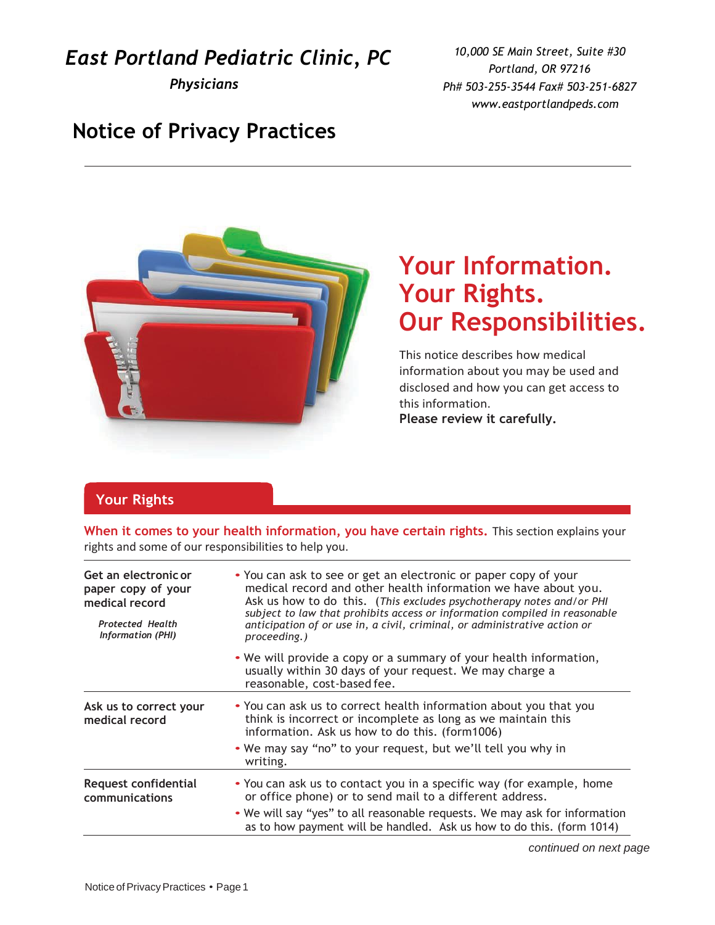# *East Portland Pediatric Clinic, PC*

*Physicians*

## **Notice of Privacy Practices**

*10,000 SE Main Street, Suite #30 Portland, OR 97216 Ph# 503-255-3544 Fax# 503-251-6827 www.eastportlandpeds.com*



# **Your Information. Your Rights. Our Responsibilities.**

This notice describes how medical information about you may be used and disclosed and how you can get access to this information.

**Please review it carefully.**

### **Your Rights**

**When it comes to your health information, you have certain rights.** This section explains your rights and some of our responsibilities to help you.

| Get an electronic or<br>paper copy of your<br>medical record<br><b>Protected Health</b><br><b>Information (PHI)</b> | • You can ask to see or get an electronic or paper copy of your<br>medical record and other health information we have about you.<br>Ask us how to do this. (This excludes psychotherapy notes and/or PHI<br>subject to law that prohibits access or information compiled in reasonable<br>anticipation of or use in, a civil, criminal, or administrative action or<br>proceeding.) |  |
|---------------------------------------------------------------------------------------------------------------------|--------------------------------------------------------------------------------------------------------------------------------------------------------------------------------------------------------------------------------------------------------------------------------------------------------------------------------------------------------------------------------------|--|
|                                                                                                                     | • We will provide a copy or a summary of your health information,<br>usually within 30 days of your request. We may charge a<br>reasonable, cost-based fee.                                                                                                                                                                                                                          |  |
| Ask us to correct your<br>medical record                                                                            | • You can ask us to correct health information about you that you<br>think is incorrect or incomplete as long as we maintain this<br>information. Ask us how to do this. (form1006)<br>. We may say "no" to your request, but we'll tell you why in<br>writing.                                                                                                                      |  |
| Request confidential<br>communications                                                                              | • You can ask us to contact you in a specific way (for example, home<br>or office phone) or to send mail to a different address.<br>• We will say "yes" to all reasonable requests. We may ask for information<br>as to how payment will be handled. Ask us how to do this. (form 1014)                                                                                              |  |

*continued on next page*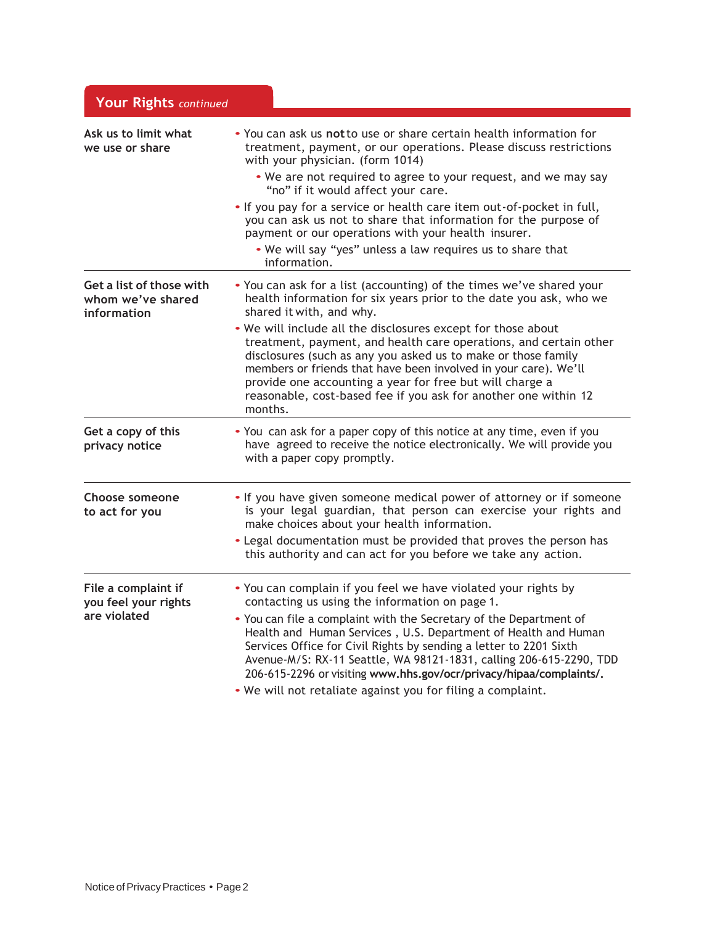| Your Rights continued                                        |                                                                                                                                                                                                                                                                                                                                                                                                                                                                                                                                                                                           |
|--------------------------------------------------------------|-------------------------------------------------------------------------------------------------------------------------------------------------------------------------------------------------------------------------------------------------------------------------------------------------------------------------------------------------------------------------------------------------------------------------------------------------------------------------------------------------------------------------------------------------------------------------------------------|
| Ask us to limit what<br>we use or share                      | • You can ask us not to use or share certain health information for<br>treatment, payment, or our operations. Please discuss restrictions<br>with your physician. (form 1014)<br>. We are not required to agree to your request, and we may say                                                                                                                                                                                                                                                                                                                                           |
|                                                              | "no" if it would affect your care.<br>. If you pay for a service or health care item out-of-pocket in full,<br>you can ask us not to share that information for the purpose of<br>payment or our operations with your health insurer.<br>. We will say "yes" unless a law requires us to share that<br>information.                                                                                                                                                                                                                                                                       |
| Get a list of those with<br>whom we've shared<br>information | . You can ask for a list (accounting) of the times we've shared your<br>health information for six years prior to the date you ask, who we<br>shared it with, and why.<br>. We will include all the disclosures except for those about<br>treatment, payment, and health care operations, and certain other<br>disclosures (such as any you asked us to make or those family<br>members or friends that have been involved in your care). We'll<br>provide one accounting a year for free but will charge a<br>reasonable, cost-based fee if you ask for another one within 12<br>months. |
| Get a copy of this<br>privacy notice                         | • You can ask for a paper copy of this notice at any time, even if you<br>have agreed to receive the notice electronically. We will provide you<br>with a paper copy promptly.                                                                                                                                                                                                                                                                                                                                                                                                            |
| Choose someone<br>to act for you                             | • If you have given someone medical power of attorney or if someone<br>is your legal guardian, that person can exercise your rights and<br>make choices about your health information.<br>• Legal documentation must be provided that proves the person has<br>this authority and can act for you before we take any action.                                                                                                                                                                                                                                                              |
| File a complaint if<br>you feel your rights<br>are violated  | . You can complain if you feel we have violated your rights by<br>contacting us using the information on page 1.<br>• You can file a complaint with the Secretary of the Department of<br>Health and Human Services, U.S. Department of Health and Human<br>Services Office for Civil Rights by sending a letter to 2201 Sixth<br>Avenue-M/S: RX-11 Seattle, WA 98121-1831, calling 206-615-2290, TDD<br>206-615-2296 or visiting www.hhs.gov/ocr/privacy/hipaa/complaints/.<br>. We will not retaliate against you for filing a complaint.                                               |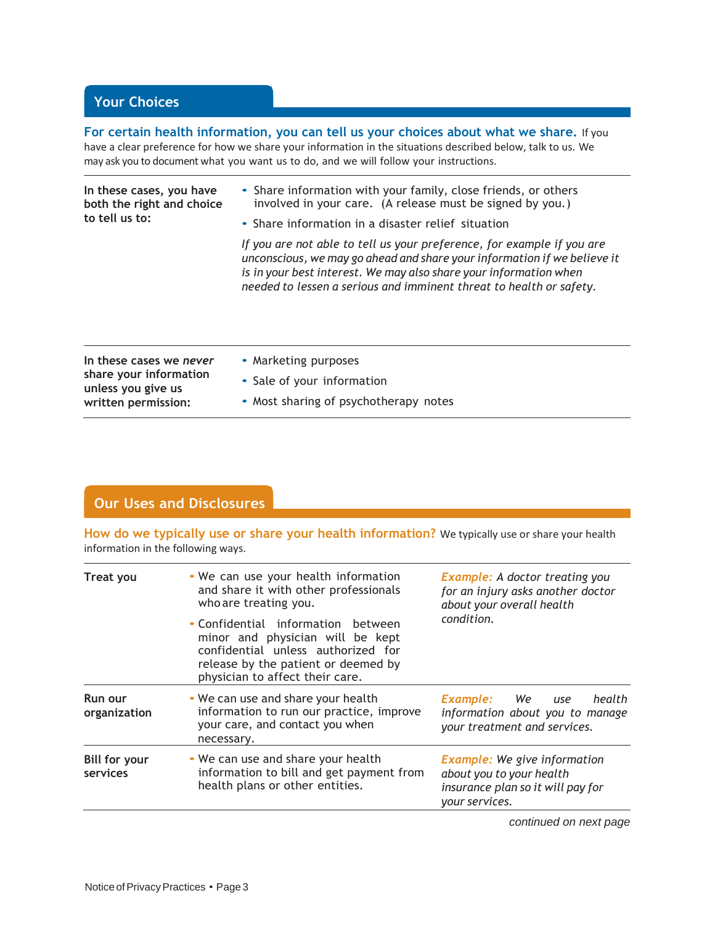**For certain health information, you can tell us your choices about what we share.** If you have a clear preference for how we share your information in the situations described below, talk to us. We may ask you to document what you want us to do, and we will follow your instructions.

| In these cases, you have<br>both the right and choice<br>to tell us to:                        | • Share information with your family, close friends, or others<br>involved in your care. (A release must be signed by you.)<br>• Share information in a disaster relief situation<br>If you are not able to tell us your preference, for example if you are<br>unconscious, we may go ahead and share your information if we believe it<br>is in your best interest. We may also share your information when<br>needed to lessen a serious and imminent threat to health or safety. |
|------------------------------------------------------------------------------------------------|-------------------------------------------------------------------------------------------------------------------------------------------------------------------------------------------------------------------------------------------------------------------------------------------------------------------------------------------------------------------------------------------------------------------------------------------------------------------------------------|
| In these cases we never<br>share your information<br>unless you give us<br>written permission: | • Marketing purposes<br>• Sale of your information<br>• Most sharing of psychotherapy notes                                                                                                                                                                                                                                                                                                                                                                                         |

## **Our Uses and Disclosures**

**How do we typically use or share your health information?** We typically use or share your health information in the following ways.

| <b>Treat you</b>                 | • We can use your health information<br>and share it with other professionals<br>who are treating you.                                                                                 | <b>Example:</b> A doctor treating you<br>for an injury asks another doctor<br>about your overall health                |  |
|----------------------------------|----------------------------------------------------------------------------------------------------------------------------------------------------------------------------------------|------------------------------------------------------------------------------------------------------------------------|--|
|                                  | • Confidential information between<br>minor and physician will be kept<br>confidential unless authorized for<br>release by the patient or deemed by<br>physician to affect their care. | condition.                                                                                                             |  |
| Run our<br>organization          | • We can use and share your health<br>information to run our practice, improve<br>your care, and contact you when<br>necessary.                                                        | <b>Example:</b><br>health<br>We use<br>information about you to manage<br>your treatment and services.                 |  |
| <b>Bill for your</b><br>services | • We can use and share your health<br>information to bill and get payment from<br>health plans or other entities.                                                                      | <b>Example:</b> We give information<br>about you to your health<br>insurance plan so it will pay for<br>your services. |  |

*continued on next page*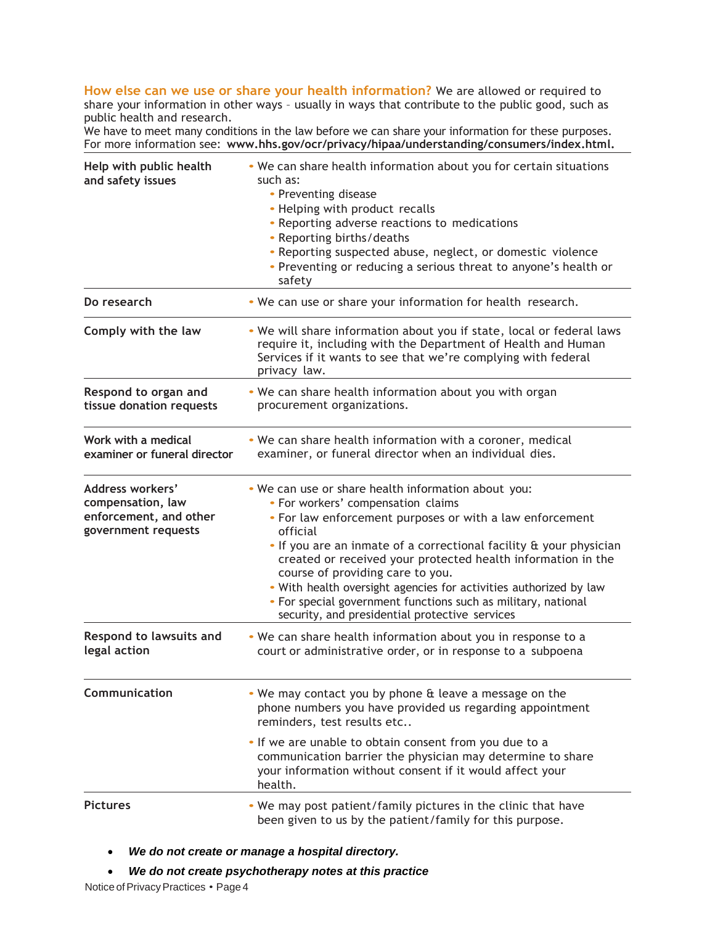**How else can we use or share your health information?** We are allowed or required to share your information in other ways – usually in ways that contribute to the public good, such as public health and research.

.<br>We have to meet many conditions in the law before we can share your information for these purposes. For more information see: **[www.hhs.gov/ocr/privacy/hipaa/understanding/consumers/index.html](http://www.hhs.gov/ocr/privacy/hipaa/understanding/consumers/index.html).**

| Help with public health<br>and safety issues                                           | . We can share health information about you for certain situations<br>such as:<br>• Preventing disease<br>• Helping with product recalls<br>• Reporting adverse reactions to medications<br>• Reporting births/deaths<br>• Reporting suspected abuse, neglect, or domestic violence<br>• Preventing or reducing a serious threat to anyone's health or<br>safety                                                                                                                                                                    |
|----------------------------------------------------------------------------------------|-------------------------------------------------------------------------------------------------------------------------------------------------------------------------------------------------------------------------------------------------------------------------------------------------------------------------------------------------------------------------------------------------------------------------------------------------------------------------------------------------------------------------------------|
| Do research                                                                            | . We can use or share your information for health research.                                                                                                                                                                                                                                                                                                                                                                                                                                                                         |
| Comply with the law                                                                    | . We will share information about you if state, local or federal laws<br>require it, including with the Department of Health and Human<br>Services if it wants to see that we're complying with federal<br>privacy law.                                                                                                                                                                                                                                                                                                             |
| Respond to organ and<br>tissue donation requests                                       | . We can share health information about you with organ<br>procurement organizations.                                                                                                                                                                                                                                                                                                                                                                                                                                                |
| Work with a medical<br>examiner or funeral director                                    | . We can share health information with a coroner, medical<br>examiner, or funeral director when an individual dies.                                                                                                                                                                                                                                                                                                                                                                                                                 |
| Address workers'<br>compensation, law<br>enforcement, and other<br>government requests | . We can use or share health information about you:<br>• For workers' compensation claims<br>• For law enforcement purposes or with a law enforcement<br>official<br>• If you are an inmate of a correctional facility & your physician<br>created or received your protected health information in the<br>course of providing care to you.<br>. With health oversight agencies for activities authorized by law<br>• For special government functions such as military, national<br>security, and presidential protective services |
| Respond to lawsuits and<br>legal action                                                | . We can share health information about you in response to a<br>court or administrative order, or in response to a subpoena                                                                                                                                                                                                                                                                                                                                                                                                         |
| Communication                                                                          | • We may contact you by phone & leave a message on the<br>phone numbers you have provided us regarding appointment<br>reminders, test results etc<br>. If we are unable to obtain consent from you due to a<br>communication barrier the physician may determine to share<br>your information without consent if it would affect your<br>health.                                                                                                                                                                                    |
| <b>Pictures</b>                                                                        | . We may post patient/family pictures in the clinic that have<br>been given to us by the patient/family for this purpose.                                                                                                                                                                                                                                                                                                                                                                                                           |

- *We do not create or manage a hospital directory.*
- *We do not create psychotherapy notes at this practice*